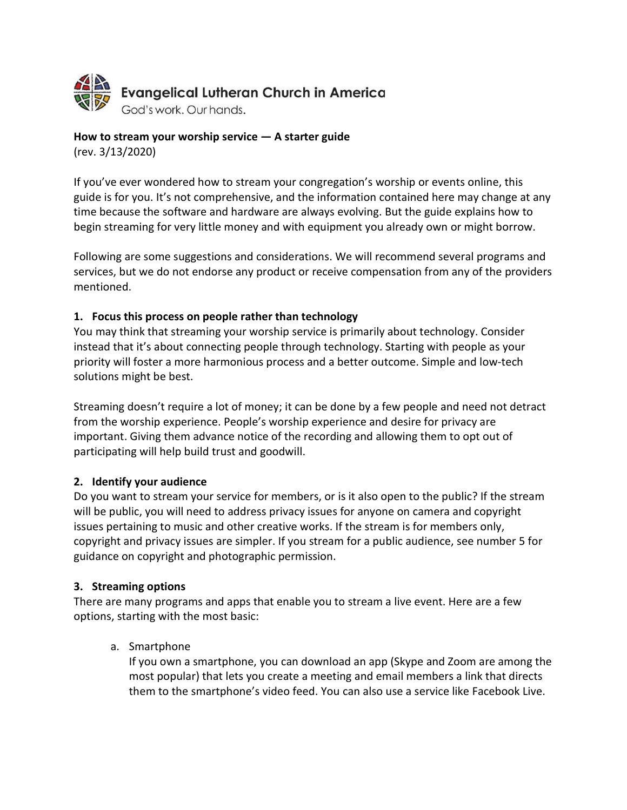

# How to stream your worship service  $-$  A starter guide

(rev. 3/13/2020)

If you've ever wondered how to stream your congregation's worship or events online, this guide is for you. It's not comprehensive, and the information contained here may change at any time because the software and hardware are always evolving. But the guide explains how to begin streaming for very little money and with equipment you already own or might borrow.

Following are some suggestions and considerations. We will recommend several programs and services, but we do not endorse any product or receive compensation from any of the providers mentioned.

#### 1. Focus this process on people rather than technology

You may think that streaming your worship service is primarily about technology. Consider instead that it's about connecting people through technology. Starting with people as your priority will foster a more harmonious process and a better outcome. Simple and low-tech solutions might be best.

Streaming doesn't require a lot of money; it can be done by a few people and need not detract from the worship experience. People's worship experience and desire for privacy are important. Giving them advance notice of the recording and allowing them to opt out of participating will help build trust and goodwill.

#### 2. Identify your audience

Do you want to stream your service for members, or is it also open to the public? If the stream will be public, you will need to address privacy issues for anyone on camera and copyright issues pertaining to music and other creative works. If the stream is for members only, copyright and privacy issues are simpler. If you stream for a public audience, see number 5 for guidance on copyright and photographic permission.

#### 3. Streaming options

There are many programs and apps that enable you to stream a live event. Here are a few options, starting with the most basic:

#### a. Smartphone

If you own a smartphone, you can download an app (Skype and Zoom are among the most popular) that lets you create a meeting and email members a link that directs them to the smartphone's video feed. You can also use a service like Facebook Live.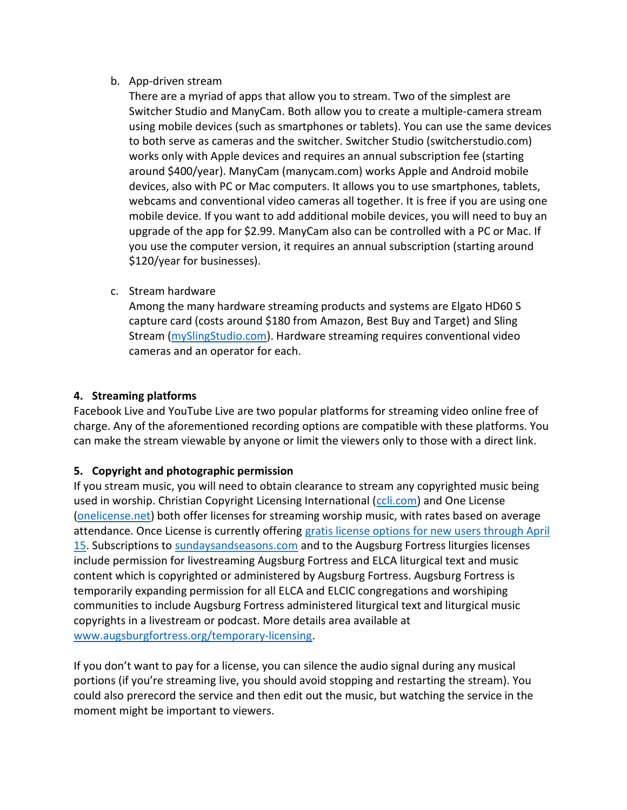#### b. App-driven stream

There are a myriad of apps that allow you to stream. Two of the simplest are Switcher Studio and ManyCam. Both allow you to create a multiple-camera stream using mobile devices (such as smartphones or tablets). You can use the same devices to both serve as cameras and the switcher. Switcher Studio (switcherstudio.com) works only with Apple devices and requires an annual subscription fee (starting around \$400/year). ManyCam (manycam.com) works Apple and Android mobile devices, also with PC or Mac computers. It allows you to use smartphones, tablets, webcams and conventional video cameras all together. It is free if you are using one mobile device. If you want to add additional mobile devices, you will need to buy an upgrade of the app for \$2.99. ManyCam also can be controlled with a PC or Mac. If you use the computer version, it requires an annual subscription (starting around \$120/year for businesses).

c. Stream hardware

Among the many hardware streaming products and systems are Elgato HD60 S capture card (costs around \$180 from Amazon, Best Buy and Target) and Sling Stream (mySlingStudio.com). Hardware streaming requires conventional video cameras and an operator for each.

### 4. Streaming platforms

Facebook Live and YouTube Live are two popular platforms for streaming video online free of charge. Any of the aforementioned recording options are compatible with these platforms. You can make the stream viewable by anyone or limit the viewers only to those with a direct link.

## 5. Copyright and photographic permission

If you stream music, you will need to obtain clearance to stream any copyrighted music being used in worship. Christian Copyright Licensing International (ccli.com) and One License (onelicense.net) both offer licenses for streaming worship music, with rates based on average attendance. Once License is currently offering gratis license options for new users through April 15. Subscriptions to sundaysandseasons.com and to the Augsburg Fortress liturgies licenses include permission for livestreaming Augsburg Fortress and ELCA liturgical text and music content which is copyrighted or administered by Augsburg Fortress. Augsburg Fortress is temporarily expanding permission for all ELCA and ELCIC congregations and worshiping communities to include Augsburg Fortress administered liturgical text and liturgical music copyrights in a livestream or podcast. More details area available at www.augsburgfortress.org/temporary-licensing.

If you don't want to pay for a license, you can silence the audio signal during any musical portions (if you're streaming live, you should avoid stopping and restarting the stream). You could also prerecord the service and then edit out the music, but watching the service in the moment might be important to viewers.